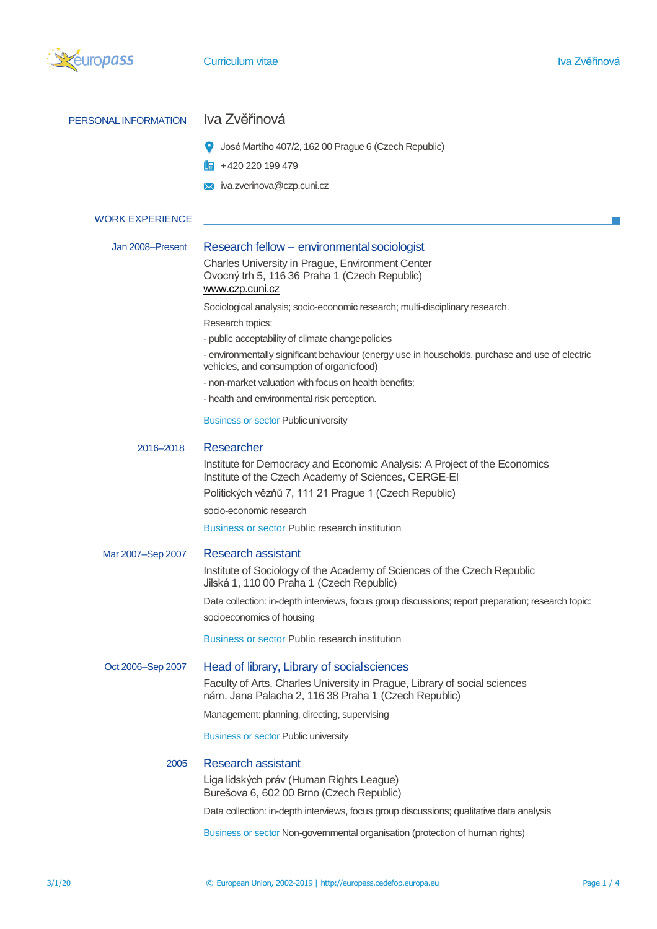

| PERSONAL INFORMATION   | Iva Zvěřinová                                                                                                                                |  |  |  |  |
|------------------------|----------------------------------------------------------------------------------------------------------------------------------------------|--|--|--|--|
|                        | José Martího 407/2, 162 00 Prague 6 (Czech Republic)                                                                                         |  |  |  |  |
|                        | $\mathbb{H}$ +420 220 199 479                                                                                                                |  |  |  |  |
|                        | $\times$ iva.zverinova@czp.cuni.cz                                                                                                           |  |  |  |  |
| <b>WORK EXPERIENCE</b> |                                                                                                                                              |  |  |  |  |
|                        |                                                                                                                                              |  |  |  |  |
| Jan 2008-Present       | Research fellow - environmental sociologist                                                                                                  |  |  |  |  |
|                        | Charles University in Prague, Environment Center<br>Ovocný trh 5, 116 36 Praha 1 (Czech Republic)<br>www.czp.cuni.cz                         |  |  |  |  |
|                        | Sociological analysis; socio-economic research; multi-disciplinary research.                                                                 |  |  |  |  |
|                        | Research topics:                                                                                                                             |  |  |  |  |
|                        | - public acceptability of climate changepolicies                                                                                             |  |  |  |  |
|                        | - environmentally significant behaviour (energy use in households, purchase and use of electric<br>vehicles, and consumption of organicfood) |  |  |  |  |
|                        | - non-market valuation with focus on health benefits:                                                                                        |  |  |  |  |
|                        | - health and environmental risk perception.                                                                                                  |  |  |  |  |
|                        | <b>Business or sector Public university</b>                                                                                                  |  |  |  |  |
| 2016-2018              | Researcher                                                                                                                                   |  |  |  |  |
|                        | Institute for Democracy and Economic Analysis: A Project of the Economics<br>Institute of the Czech Academy of Sciences, CERGE-EI            |  |  |  |  |
|                        | Politických vězňů 7, 111 21 Prague 1 (Czech Republic)                                                                                        |  |  |  |  |
|                        | socio-economic research                                                                                                                      |  |  |  |  |
|                        | <b>Business or sector Public research institution</b>                                                                                        |  |  |  |  |
| Mar 2007-Sep 2007      | <b>Research assistant</b>                                                                                                                    |  |  |  |  |
|                        | Institute of Sociology of the Academy of Sciences of the Czech Republic<br>Jilská 1, 110 00 Praha 1 (Czech Republic)                         |  |  |  |  |
|                        | Data collection: in-depth interviews, focus group discussions; report preparation; research topic:                                           |  |  |  |  |
|                        | socioeconomics of housing                                                                                                                    |  |  |  |  |
|                        | <b>Business or sector Public research institution</b>                                                                                        |  |  |  |  |
| Oct 2006-Sep 2007      | Head of library, Library of social sciences                                                                                                  |  |  |  |  |
|                        | Faculty of Arts, Charles University in Prague, Library of social sciences<br>nám. Jana Palacha 2, 116 38 Praha 1 (Czech Republic)            |  |  |  |  |
|                        | Management: planning, directing, supervising                                                                                                 |  |  |  |  |
|                        | <b>Business or sector Public university</b>                                                                                                  |  |  |  |  |
| 2005                   | <b>Research assistant</b>                                                                                                                    |  |  |  |  |
|                        | Liga lidských práv (Human Rights League)<br>Burešova 6, 602 00 Brno (Czech Republic)                                                         |  |  |  |  |
|                        | Data collection: in-depth interviews, focus group discussions; qualitative data analysis                                                     |  |  |  |  |
|                        | Business or sector Non-governmental organisation (protection of human rights)                                                                |  |  |  |  |
|                        |                                                                                                                                              |  |  |  |  |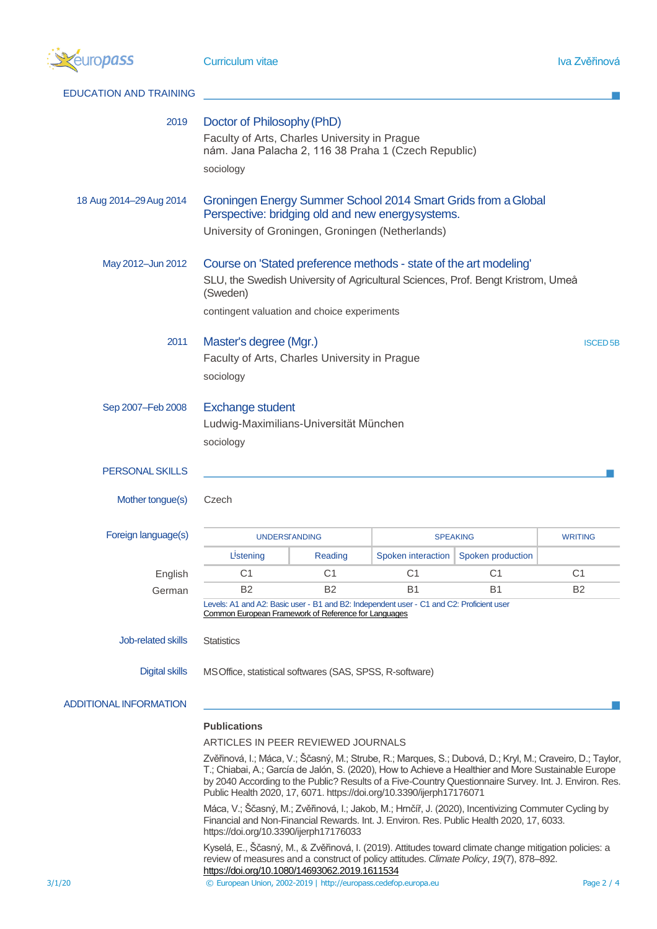

| <b>EDUCATION AND TRAINING</b> |                                                                                                                                                                                                                                                                                                                                                                                                    |                |                    |                   |                |  |
|-------------------------------|----------------------------------------------------------------------------------------------------------------------------------------------------------------------------------------------------------------------------------------------------------------------------------------------------------------------------------------------------------------------------------------------------|----------------|--------------------|-------------------|----------------|--|
| 2019                          | Doctor of Philosophy (PhD)<br>Faculty of Arts, Charles University in Prague<br>nám. Jana Palacha 2, 116 38 Praha 1 (Czech Republic)<br>sociology                                                                                                                                                                                                                                                   |                |                    |                   |                |  |
| 18 Aug 2014-29 Aug 2014       | Groningen Energy Summer School 2014 Smart Grids from a Global<br>Perspective: bridging old and new energysystems.<br>University of Groningen, Groningen (Netherlands)                                                                                                                                                                                                                              |                |                    |                   |                |  |
| May 2012-Jun 2012             | Course on 'Stated preference methods - state of the art modeling'<br>SLU, the Swedish University of Agricultural Sciences, Prof. Bengt Kristrom, Umeå<br>(Sweden)<br>contingent valuation and choice experiments                                                                                                                                                                                   |                |                    |                   |                |  |
| 2011                          | Master's degree (Mgr.)<br><b>ISCED5B</b><br>Faculty of Arts, Charles University in Prague<br>sociology                                                                                                                                                                                                                                                                                             |                |                    |                   |                |  |
| Sep 2007-Feb 2008             | <b>Exchange student</b><br>Ludwig-Maximilians-Universität München<br>sociology                                                                                                                                                                                                                                                                                                                     |                |                    |                   |                |  |
| PERSONAL SKILLS               |                                                                                                                                                                                                                                                                                                                                                                                                    |                |                    |                   |                |  |
| Mother tongue(s)              | Czech                                                                                                                                                                                                                                                                                                                                                                                              |                |                    |                   |                |  |
| Foreign language(s)           | <b>UNDERSFANDING</b>                                                                                                                                                                                                                                                                                                                                                                               |                | <b>SPEAKING</b>    |                   | <b>WRITING</b> |  |
|                               | Listening                                                                                                                                                                                                                                                                                                                                                                                          | Reading        | Spoken interaction | Spoken production |                |  |
| English                       | C <sub>1</sub>                                                                                                                                                                                                                                                                                                                                                                                     | C <sub>1</sub> | C <sub>1</sub>     | C <sub>1</sub>    | C <sub>1</sub> |  |
| German                        | <b>B2</b>                                                                                                                                                                                                                                                                                                                                                                                          | B <sub>2</sub> | <b>B1</b>          | B1                | B <sub>2</sub> |  |
|                               | Levels: A1 and A2: Basic user - B1 and B2: Independent user - C1 and C2: Proficient user<br>Common European Framework of Reference for Languages                                                                                                                                                                                                                                                   |                |                    |                   |                |  |
| Job-related skills            | <b>Statistics</b>                                                                                                                                                                                                                                                                                                                                                                                  |                |                    |                   |                |  |
| <b>Digital skills</b>         | MS Office, statistical softwares (SAS, SPSS, R-software)                                                                                                                                                                                                                                                                                                                                           |                |                    |                   |                |  |
| <b>ADDITIONAL INFORMATION</b> |                                                                                                                                                                                                                                                                                                                                                                                                    |                |                    |                   |                |  |
|                               | <b>Publications</b>                                                                                                                                                                                                                                                                                                                                                                                |                |                    |                   |                |  |
|                               | ARTICLES IN PEER REVIEWED JOURNALS                                                                                                                                                                                                                                                                                                                                                                 |                |                    |                   |                |  |
|                               | Zvěřinová, I.; Máca, V.; Ščasný, M.; Strube, R.; Marques, S.; Dubová, D.; Kryl, M.; Craveiro, D.; Taylor,<br>T.; Chiabai, A.; García de Jalón, S. (2020), How to Achieve a Healthier and More Sustainable Europe<br>by 2040 According to the Public? Results of a Five-Country Questionnaire Survey. Int. J. Environ. Res.<br>Public Health 2020, 17, 6071. https://doi.org/10.3390/ijerph17176071 |                |                    |                   |                |  |
|                               | Máca, V.; Ščasný, M.; Zvěřinová, I.; Jakob, M.; Hrnčíř, J. (2020), Incentivizing Commuter Cycling by<br>Financial and Non-Financial Rewards. Int. J. Environ. Res. Public Health 2020, 17, 6033.<br>https://doi.org/10.3390/ijerph17176033                                                                                                                                                         |                |                    |                   |                |  |
|                               | Kyselá, E., Ščasný, M., & Zvěřinová, I. (2019). Attitudes toward climate change mitigation policies: a                                                                                                                                                                                                                                                                                             |                |                    |                   |                |  |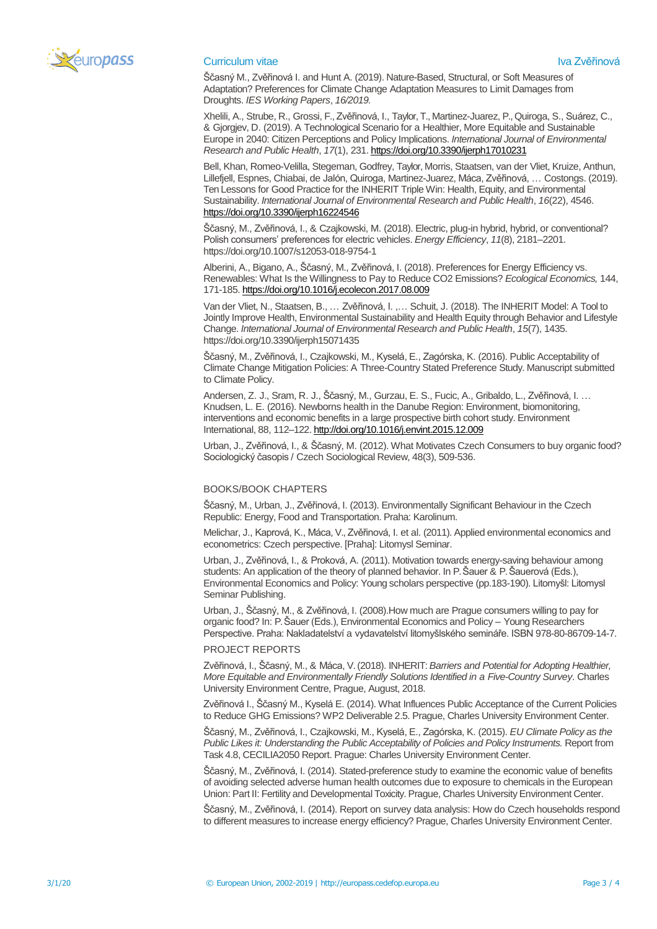

## Curriculum vitae Iva Zvěřinová za postavení po stavení po stavení v letech východní k vydání za zvěřinová zvět

Ščasný M., Zvěřinová I. and Hunt A. (2019). Nature-Based, Structural, or Soft Measures of Adaptation? Preferences for Climate Change Adaptation Measures to Limit Damages from Droughts. *IES Working Papers*, *16/2019.*

Xhelili, A., Strube, R., Grossi, F., Zvěřinová, I., Taylor, T., Martinez-Juarez, P., Quiroga, S., Suárez, C., & Gjorgjev, D. (2019). A Technological Scenario for a Healthier, More Equitable and Sustainable Europe in 2040: Citizen Perceptions and Policy Implications. *International Journal of Environmental Research and Public Health*, *17*(1), 231[. https://doi.org/10.3390/ijerph17010231](https://doi.org/10.3390/ijerph17010231)

Bell, Khan, Romeo-Velilla, Stegeman, Godfrey, Taylor, Morris, Staatsen, van der Vliet, Kruize, Anthun, Lillefjell, Espnes, Chiabai, de Jalón, Quiroga, Martinez-Juarez, Máca, Zvěřinová, … Costongs. (2019). Ten Lessons for Good Practice for the INHERIT Triple Win: Health, Equity, and Environmental Sustainability. *International Journal of Environmental Research and Public Health*, *16*(22), 4546. <https://doi.org/10.3390/ijerph16224546>

Ščasný, M., Zvěřinová, I., & Czajkowski, M. (2018). Electric, plug-in hybrid, hybrid, or conventional? Polish consumers' preferences for electric vehicles. *Energy Efficiency*, *11*(8), 2181–2201. https://doi.org/10.1007/s12053-018-9754-1

Alberini, A., Bigano, A., Ščasný, M., Zvěřinová, I. (2018). Preferences for Energy Efficiency vs. Renewables: What Is the Willingness to Pay to Reduce CO2 Emissions? *Ecological Economics,* 144, 171-185[. https://doi.org/10.1016/j.ecolecon.2017.08.009](https://doi.org/10.1016/j.ecolecon.2017.08.009)

Van der Vliet, N., Staatsen, B., … Zvěřinová, I. ,… Schuit, J. (2018). The INHERIT Model: A Tool to Jointly Improve Health, Environmental Sustainability and Health Equity through Behavior and Lifestyle Change. *International Journal of Environmental Research and Public Health*, *15*(7), 1435. https://doi.org/10.3390/ijerph15071435

Ščasný, M., Zvěřinová, I., Czajkowski, M., Kyselá, E., Zagórska, K. (2016). Public Acceptability of Climate Change Mitigation Policies: A Three-Country Stated Preference Study. Manuscript submitted to Climate Policy.

Andersen, Z. J., Sram, R. J., Ščasný, M., Gurzau, E. S., Fucic, A., Gribaldo, L., Zvěřinová, I. … Knudsen, L. E. (2016). Newborns health in the Danube Region: Environment, biomonitoring, interventions and economic benefits in a large prospective birth cohort study. Environment International, 88, 112–122[. http://doi.org/10.1016/j.envint.2015.12.009](http://doi.org/10.1016/j.envint.2015.12.009)

Urban, J., Zvěřinová, I., & Ščasný, M. (2012). What Motivates Czech Consumers to buy organic food? Sociologický časopis / Czech Sociological Review, 48(3), 509-536.

## BOOKS/BOOK CHAPTERS

Ščasný, M., Urban, J., Zvěřinová, I. (2013). Environmentally Significant Behaviour in the Czech Republic: Energy, Food and Transportation. Praha: Karolinum.

Melichar, J., Kaprová, K., Máca, V., Zvěřinová, I. et al. (2011). Applied environmental economics and econometrics: Czech perspective. [Praha]: Litomysl Seminar.

Urban, J., Zvěřinová, I., & Proková, A. (2011). Motivation towards energy-saving behaviour among students: An application of the theory of planned behavior. In P. Šauer & P. Šauerová (Eds.), Environmental Economics and Policy: Young scholars perspective (pp.183-190). Litomyšl: Litomysl Seminar Publishing.

Urban, J., Ščasný, M., & Zvěřinová, I. (2008).How much are Prague consumers willing to pay for organic food? In: P. Šauer (Eds.), Environmental Economics and Policy – Young Researchers Perspective. Praha: Nakladatelství a vydavatelství litomyšlského semináře. ISBN 978-80-86709-14-7.

#### PROJECT REPORTS

Zvěřinová, I., Ščasný, M., & Máca, V. (2018). INHERIT: *Barriers and Potential for Adopting Healthier, More Equitable and Environmentally Friendly Solutions Identified in a Five-Country Survey*. Charles University Environment Centre, Prague, August, 2018.

Zvěřinová I., Ščasný M., Kyselá E. (2014). What Influences Public Acceptance of the Current Policies to Reduce GHG Emissions? WP2 Deliverable 2.5. Prague, Charles University Environment Center.

Ščasný, M., Zvěřinová, I., Czajkowski, M., Kyselá, E., Zagórska, K. (2015). *EU Climate Policy as the Public Likes it: Understanding the Public Acceptability of Policies and Policy Instruments.* Report from Task 4.8, CECILIA2050 Report. Prague: Charles University Environment Center.

Ščasný, M., Zvěřinová, I. (2014). Stated-preference study to examine the economic value of benefits of avoiding selected adverse human health outcomes due to exposure to chemicals in the European Union: Part II: Fertility and Developmental Toxicity. Prague, Charles University Environment Center.

Ščasný, M., Zvěřinová, I. (2014). Report on survey data analysis: How do Czech households respond to different measures to increase energy efficiency? Prague, Charles University Environment Center.